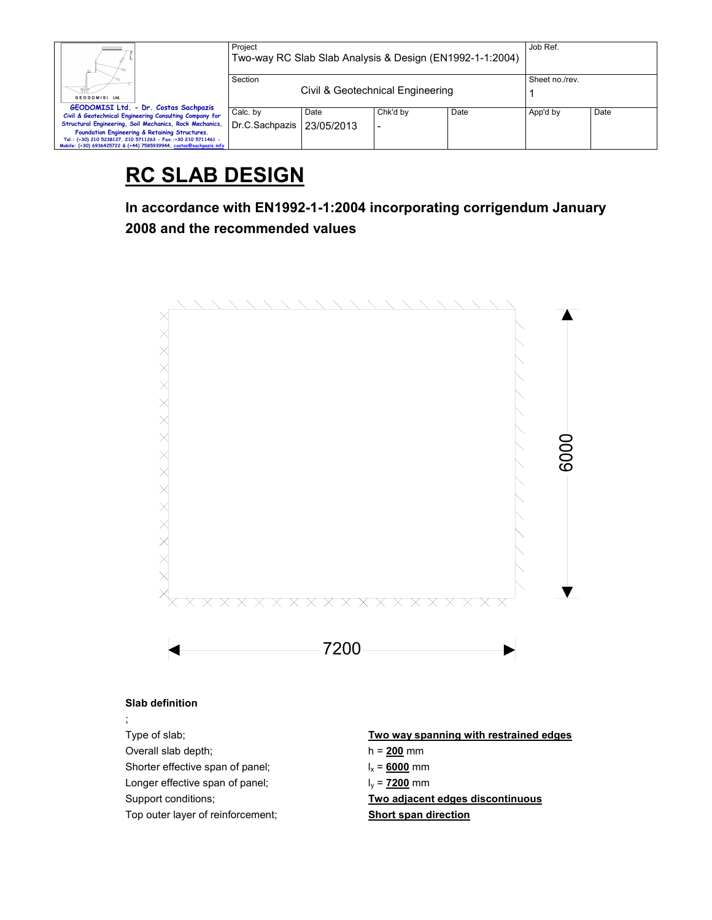| Ш.                                                                                                                                                                                                                                               | Project<br>Two-way RC Slab Slab Analysis & Design (EN1992-1-1:2004) | Job Ref.       |          |      |          |      |
|--------------------------------------------------------------------------------------------------------------------------------------------------------------------------------------------------------------------------------------------------|---------------------------------------------------------------------|----------------|----------|------|----------|------|
|                                                                                                                                                                                                                                                  | Section<br>Civil & Geotechnical Engineering                         | Sheet no./rev. |          |      |          |      |
| GEODOMISI Ltd.                                                                                                                                                                                                                                   |                                                                     |                |          |      |          |      |
| GEODOMISI Ltd. - Dr. Costas Sachpazis<br>Civil & Geotechnical Engineering Consulting Company for                                                                                                                                                 | Calc. by                                                            | Date           | Chk'd by | Date | App'd by | Date |
| Structural Engineering, Soil Mechanics, Rock Mechanics,<br>Foundation Engineering & Retaining Structures.<br>Tel.: (+30) 210 5238127, 210 5711263 - Fax.:+30 210 5711461 -<br>Mobile: (+30) 6936425722 & (+44) 7585939944, costas@sachpazis.info | Dr.C.Sachpazis                                                      | 23/05/2013     |          |      |          |      |

# **RC SLAB DESIGN**

**In accordance with EN1992-1-1:2004 incorporating corrigendum January 2008 and the recommended values** 



Top outer layer of reinforcement; **Short span direction**

;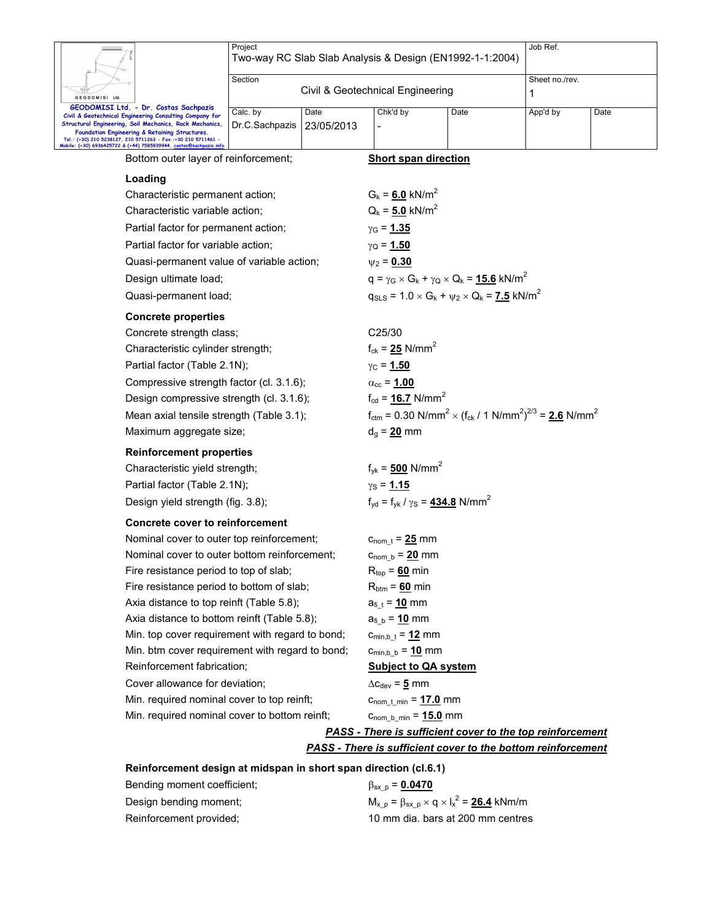|                                                                                                                                                                                                                                                                                                                                                      | Project<br>Two-way RC Slab Slab Analysis & Design (EN1992-1-1:2004) |                    |                                                                            |                                                                                                             |                     | Job Ref. |  |  |
|------------------------------------------------------------------------------------------------------------------------------------------------------------------------------------------------------------------------------------------------------------------------------------------------------------------------------------------------------|---------------------------------------------------------------------|--------------------|----------------------------------------------------------------------------|-------------------------------------------------------------------------------------------------------------|---------------------|----------|--|--|
| GEODOMISI Ltd.                                                                                                                                                                                                                                                                                                                                       | Section<br>Civil & Geotechnical Engineering                         |                    |                                                                            |                                                                                                             | Sheet no./rev.<br>1 |          |  |  |
| GEODOMISI Ltd. - Dr. Costas Sachpazis<br>Civil & Geotechnical Engineering Consulting Company for<br>Structural Engineering, Soil Mechanics, Rock Mechanics,<br>Foundation Engineering & Retaining Structures.<br>Tel.: (+30) 210 5238127, 210 5711263 - Fax,:+30 210 5711461 -<br>Mobile: (+30) 6936425722 & (+44) 7585939944, costas@sachpazis.info | Calc. by<br>Dr.C.Sachpazis                                          | Date<br>23/05/2013 | Chk'd by                                                                   | Date                                                                                                        | App'd by            | Date     |  |  |
| Bottom outer layer of reinforcement;                                                                                                                                                                                                                                                                                                                 |                                                                     |                    | <b>Short span direction</b>                                                |                                                                                                             |                     |          |  |  |
| Loading                                                                                                                                                                                                                                                                                                                                              |                                                                     |                    |                                                                            |                                                                                                             |                     |          |  |  |
| Characteristic permanent action;                                                                                                                                                                                                                                                                                                                     |                                                                     |                    | $G_k = 6.0$ kN/m <sup>2</sup>                                              |                                                                                                             |                     |          |  |  |
| Characteristic variable action;                                                                                                                                                                                                                                                                                                                      |                                                                     |                    | $Q_k = 5.0$ kN/m <sup>2</sup>                                              |                                                                                                             |                     |          |  |  |
| Partial factor for permanent action;                                                                                                                                                                                                                                                                                                                 |                                                                     |                    | $\gamma_{\rm G}$ = 1.35                                                    |                                                                                                             |                     |          |  |  |
| Partial factor for variable action;                                                                                                                                                                                                                                                                                                                  |                                                                     |                    | $γ$ <sub>Q</sub> = <u>1.50</u>                                             |                                                                                                             |                     |          |  |  |
| Quasi-permanent value of variable action;                                                                                                                                                                                                                                                                                                            |                                                                     |                    | $\psi_2 = 0.30$                                                            |                                                                                                             |                     |          |  |  |
| Design ultimate load;                                                                                                                                                                                                                                                                                                                                |                                                                     |                    | $q = \gamma_G \times G_k + \gamma_Q \times Q_k = 15.6$ kN/m <sup>2</sup>   |                                                                                                             |                     |          |  |  |
|                                                                                                                                                                                                                                                                                                                                                      | Quasi-permanent load;                                               |                    |                                                                            | $q_{SLS} = 1.0 \times G_k + \psi_2 \times Q_k = 7.5 \text{ kN/m}^2$                                         |                     |          |  |  |
| <b>Concrete properties</b>                                                                                                                                                                                                                                                                                                                           |                                                                     |                    |                                                                            |                                                                                                             |                     |          |  |  |
|                                                                                                                                                                                                                                                                                                                                                      | Concrete strength class;                                            |                    | C25/30                                                                     |                                                                                                             |                     |          |  |  |
| Characteristic cylinder strength;                                                                                                                                                                                                                                                                                                                    |                                                                     |                    | $f_{ck} = 25$ N/mm <sup>2</sup>                                            |                                                                                                             |                     |          |  |  |
| Partial factor (Table 2.1N);                                                                                                                                                                                                                                                                                                                         |                                                                     |                    | $γC = 1.50$                                                                |                                                                                                             |                     |          |  |  |
| Compressive strength factor (cl. 3.1.6);                                                                                                                                                                                                                                                                                                             |                                                                     |                    | $\alpha_{\rm cc}$ = 1.00                                                   |                                                                                                             |                     |          |  |  |
| Design compressive strength (cl. 3.1.6);                                                                                                                                                                                                                                                                                                             |                                                                     |                    | $f_{\rm cd} = 16.7$ N/mm <sup>2</sup>                                      |                                                                                                             |                     |          |  |  |
| Mean axial tensile strength (Table 3.1);                                                                                                                                                                                                                                                                                                             |                                                                     |                    |                                                                            | $f_{\text{ctm}} = 0.30 \text{ N/mm}^2 \times (f_{\text{ck}} / 1 \text{ N/mm}^2)^{2/3} = 2.6 \text{ N/mm}^2$ |                     |          |  |  |
| Maximum aggregate size;                                                                                                                                                                                                                                                                                                                              |                                                                     |                    | $d_q = 20$ mm                                                              |                                                                                                             |                     |          |  |  |
| <b>Reinforcement properties</b>                                                                                                                                                                                                                                                                                                                      |                                                                     |                    |                                                                            |                                                                                                             |                     |          |  |  |
| Characteristic yield strength;                                                                                                                                                                                                                                                                                                                       |                                                                     |                    | $f_{\text{vk}} = 500 \text{ N/mm}^2$                                       |                                                                                                             |                     |          |  |  |
| Partial factor (Table 2.1N);                                                                                                                                                                                                                                                                                                                         |                                                                     |                    | $y_S = 1.15$                                                               |                                                                                                             |                     |          |  |  |
| Design yield strength (fig. 3.8);                                                                                                                                                                                                                                                                                                                    |                                                                     |                    | $f_{\text{vd}} = f_{\text{vk}} / \gamma_{\text{S}} = 434.8 \text{ N/mm}^2$ |                                                                                                             |                     |          |  |  |
| <b>Concrete cover to reinforcement</b>                                                                                                                                                                                                                                                                                                               |                                                                     |                    |                                                                            |                                                                                                             |                     |          |  |  |
| Nominal cover to outer top reinforcement;                                                                                                                                                                                                                                                                                                            |                                                                     |                    | $c_{\text{nom t}} = 25 \text{ mm}$                                         |                                                                                                             |                     |          |  |  |
| Nominal cover to outer bottom reinforcement;                                                                                                                                                                                                                                                                                                         |                                                                     |                    | $c_{\text{nom_b}} = 20$ mm                                                 |                                                                                                             |                     |          |  |  |
| Fire resistance period to top of slab;                                                                                                                                                                                                                                                                                                               |                                                                     |                    | $R_{top} = 60$ min                                                         |                                                                                                             |                     |          |  |  |
| Fire resistance period to bottom of slab;                                                                                                                                                                                                                                                                                                            |                                                                     |                    | $R_{\text{btm}} = 60$ min                                                  |                                                                                                             |                     |          |  |  |
| Axia distance to top reinft (Table 5.8);                                                                                                                                                                                                                                                                                                             |                                                                     |                    | $a_{fi_t} = 10$ mm                                                         |                                                                                                             |                     |          |  |  |
| Axia distance to bottom reinft (Table 5.8);                                                                                                                                                                                                                                                                                                          |                                                                     |                    | $a_{fi b} = 10$ mm                                                         |                                                                                                             |                     |          |  |  |
| Min. top cover requirement with regard to bond;<br>Min. btm cover requirement with regard to bond;                                                                                                                                                                                                                                                   |                                                                     |                    | $c_{min,b_t} = 12$ mm<br>$c_{\text{min},b_b} = 10 \text{ mm}$              |                                                                                                             |                     |          |  |  |
| Reinforcement fabrication;                                                                                                                                                                                                                                                                                                                           |                                                                     |                    | <b>Subject to QA system</b>                                                |                                                                                                             |                     |          |  |  |

Cover allowance for deviation;  $\Delta c_{dev} = 5$  mm Min. required nominal cover to top reinft; chom<sub>\_t\_min</sub> = **17.0** mm Min. required nominal cover to bottom reinft; chom<sub>\_b\_min</sub> = **15.0** mm

*PASS - There is sufficient cover to the top reinforcement*

## *PASS - There is sufficient cover to the bottom reinforcement*

## **Reinforcement design at midspan in short span direction (cl.6.1)**

| Bending moment coefficient; | $\beta_{\rm SX D} = 0.0470$                                       |
|-----------------------------|-------------------------------------------------------------------|
| Design bending moment:      | $M_{x, p} = \beta_{sx, p} \times q \times I_{x}^{2} = 26.4$ kNm/m |
| Reinforcement provided;     | 10 mm dia, bars at 200 mm centres                                 |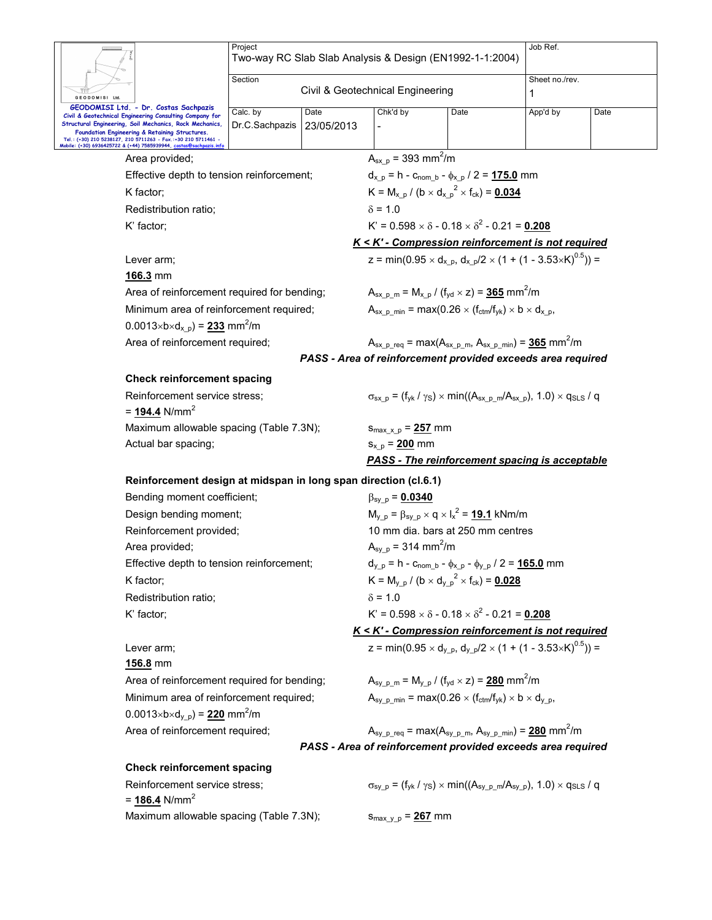|                                                                                                                                                                               | Project<br>Two-way RC Slab Slab Analysis & Design (EN1992-1-1:2004) |                                  |                                                    |                                                                                                                | Job Ref.                                                                                                                                  |      |  |  |  |
|-------------------------------------------------------------------------------------------------------------------------------------------------------------------------------|---------------------------------------------------------------------|----------------------------------|----------------------------------------------------|----------------------------------------------------------------------------------------------------------------|-------------------------------------------------------------------------------------------------------------------------------------------|------|--|--|--|
|                                                                                                                                                                               | Section                                                             | Civil & Geotechnical Engineering |                                                    |                                                                                                                | Sheet no./rev.<br>1                                                                                                                       |      |  |  |  |
| GEODOMISI Ltd.<br>GEODOMISI Ltd. - Dr. Costas Sachpazis<br>Civil & Geotechnical Engineering Consulting Company for<br>Structural Engineering, Soil Mechanics, Rock Mechanics, | Date<br>Calc. by                                                    |                                  | Chk'd by<br>Date                                   |                                                                                                                | App'd by                                                                                                                                  | Date |  |  |  |
| Foundation Engineering & Retaining Structures.<br>Tel.: (+30) 210 5238127, 210 5711263 - Fax.:+30 210 5711461 -<br>Mobile: (+30) 6936425722 & (+44) 7585939944, costa         | Dr.C.Sachpazis                                                      | 23/05/2013                       |                                                    |                                                                                                                |                                                                                                                                           |      |  |  |  |
| Area provided;                                                                                                                                                                |                                                                     |                                  | $A_{sx,p} = 393$ mm <sup>2</sup> /m                |                                                                                                                |                                                                                                                                           |      |  |  |  |
| Effective depth to tension reinforcement;                                                                                                                                     |                                                                     |                                  |                                                    | $d_{x, p} = h - c_{\text{nom } b} - \phi_{x, p} / 2 = 175.0$ mm                                                |                                                                                                                                           |      |  |  |  |
| K factor;                                                                                                                                                                     |                                                                     |                                  |                                                    | $K = M_{x, p} / (b \times d_{x, p}^{2} \times f_{ck}) = 0.034$                                                 |                                                                                                                                           |      |  |  |  |
| Redistribution ratio;                                                                                                                                                         |                                                                     |                                  | $\delta$ = 1.0                                     |                                                                                                                |                                                                                                                                           |      |  |  |  |
| K' factor;                                                                                                                                                                    |                                                                     |                                  |                                                    | $K' = 0.598 \times \delta - 0.18 \times \delta^2 - 0.21 = 0.208$                                               |                                                                                                                                           |      |  |  |  |
|                                                                                                                                                                               |                                                                     |                                  |                                                    |                                                                                                                | K < K' - Compression reinforcement is not required                                                                                        |      |  |  |  |
| Lever arm;                                                                                                                                                                    |                                                                     |                                  |                                                    |                                                                                                                | z = min(0.95 $\times$ d <sub>x p</sub> , d <sub>x p</sub> /2 $\times$ (1 + (1 - 3.53 $\times$ K) <sup>0.5</sup> )) =                      |      |  |  |  |
| 166.3 mm                                                                                                                                                                      |                                                                     |                                  |                                                    |                                                                                                                |                                                                                                                                           |      |  |  |  |
| Area of reinforcement required for bending;                                                                                                                                   |                                                                     |                                  |                                                    | $A_{sx}$ <sub>p m</sub> = M <sub>x p</sub> / (f <sub>yd</sub> × z) = 365 mm <sup>2</sup> /m                    |                                                                                                                                           |      |  |  |  |
| Minimum area of reinforcement required;                                                                                                                                       |                                                                     |                                  |                                                    | $A_{sx}$ p min = max(0.26 $\times$ (f <sub>ctm</sub> /f <sub>vk</sub> ) $\times$ b $\times$ d <sub>x p</sub> , |                                                                                                                                           |      |  |  |  |
| $0.0013 \times b \times d_{x,p}$ = 233 mm <sup>2</sup> /m                                                                                                                     |                                                                     |                                  |                                                    |                                                                                                                |                                                                                                                                           |      |  |  |  |
|                                                                                                                                                                               | Area of reinforcement required;                                     |                                  |                                                    |                                                                                                                | $A_{sx}$ <sub>p req</sub> = max( $A_{sx}$ <sub>p m</sub> , $A_{sx}$ <sub>p min</sub> ) = 365 mm <sup>2</sup> /m                           |      |  |  |  |
|                                                                                                                                                                               |                                                                     |                                  |                                                    |                                                                                                                | PASS - Area of reinforcement provided exceeds area required                                                                               |      |  |  |  |
| <b>Check reinforcement spacing</b>                                                                                                                                            |                                                                     |                                  |                                                    |                                                                                                                |                                                                                                                                           |      |  |  |  |
| Reinforcement service stress;<br>= 194.4 N/mm <sup>2</sup>                                                                                                                    |                                                                     |                                  |                                                    |                                                                                                                | $\sigma_{sx,p}$ = (f <sub>yk</sub> / $\gamma$ <sub>S</sub> ) × min((A <sub>sx p m</sub> /A <sub>sx p</sub> ), 1.0) × q <sub>SLS</sub> / q |      |  |  |  |
|                                                                                                                                                                               | Maximum allowable spacing (Table 7.3N);                             |                                  |                                                    |                                                                                                                |                                                                                                                                           |      |  |  |  |
| Actual bar spacing;                                                                                                                                                           |                                                                     |                                  |                                                    |                                                                                                                |                                                                                                                                           |      |  |  |  |
|                                                                                                                                                                               |                                                                     |                                  |                                                    |                                                                                                                | <b>PASS - The reinforcement spacing is acceptable</b>                                                                                     |      |  |  |  |
| Reinforcement design at midspan in long span direction (cl.6.1)                                                                                                               |                                                                     |                                  |                                                    |                                                                                                                |                                                                                                                                           |      |  |  |  |
| Bending moment coefficient;                                                                                                                                                   |                                                                     |                                  | $\beta_{\rm sy-p} = 0.0340$                        |                                                                                                                |                                                                                                                                           |      |  |  |  |
| Design bending moment;                                                                                                                                                        |                                                                     |                                  |                                                    | $M_{y_p} = \beta_{sy_p} \times q \times I_x^2 = 19.1$ kNm/m                                                    |                                                                                                                                           |      |  |  |  |
| Reinforcement provided;                                                                                                                                                       |                                                                     |                                  |                                                    | 10 mm dia, bars at 250 mm centres                                                                              |                                                                                                                                           |      |  |  |  |
| Area provided;                                                                                                                                                                |                                                                     |                                  | $A_{sy\_p}$ = 314 mm <sup>2</sup> /m               |                                                                                                                |                                                                                                                                           |      |  |  |  |
| Effective depth to tension reinforcement;                                                                                                                                     |                                                                     |                                  |                                                    | $d_{y_p} = h - c_{\text{nom_b}} - \phi_{x_p} - \phi_{y_p} / 2 = 165.0$ mm                                      |                                                                                                                                           |      |  |  |  |
| K factor;                                                                                                                                                                     |                                                                     |                                  |                                                    | $K = M_{v.p} / (b \times d_{v.p}^2 \times f_{ck}) = 0.028$                                                     |                                                                                                                                           |      |  |  |  |
| Redistribution ratio;                                                                                                                                                         |                                                                     |                                  | $\delta$ = 1.0                                     |                                                                                                                |                                                                                                                                           |      |  |  |  |
| K' factor;                                                                                                                                                                    |                                                                     |                                  |                                                    | $K' = 0.598 \times \delta - 0.18 \times \delta^2 - 0.21 = 0.208$                                               |                                                                                                                                           |      |  |  |  |
|                                                                                                                                                                               |                                                                     |                                  | K < K' - Compression reinforcement is not required |                                                                                                                |                                                                                                                                           |      |  |  |  |
| Lever arm;                                                                                                                                                                    |                                                                     |                                  |                                                    |                                                                                                                | z = min(0.95 $\times$ d <sub>y p</sub> , d <sub>y p</sub> /2 $\times$ (1 + (1 - 3.53 $\times$ K) <sup>0.5</sup> )) =                      |      |  |  |  |
| 156.8 mm                                                                                                                                                                      |                                                                     |                                  |                                                    |                                                                                                                |                                                                                                                                           |      |  |  |  |
| Area of reinforcement required for bending;                                                                                                                                   |                                                                     |                                  |                                                    | $A_{sy-p-m} = M_{y-p} / (f_{yd} \times z) = 280$ mm <sup>2</sup> /m                                            |                                                                                                                                           |      |  |  |  |
| Minimum area of reinforcement required;                                                                                                                                       |                                                                     |                                  |                                                    | $A_{\text{sv p min}} = \max(0.26 \times (f_{\text{ctm}}/f_{\text{vk}}) \times b \times d_{\text{v p}},$        |                                                                                                                                           |      |  |  |  |
| $0.0013 \times b \times d_{y,p} = 220$ mm <sup>2</sup> /m                                                                                                                     |                                                                     |                                  |                                                    |                                                                                                                |                                                                                                                                           |      |  |  |  |
|                                                                                                                                                                               | Area of reinforcement required;                                     |                                  |                                                    |                                                                                                                | $A_{\rm sy \, p \, \text{req}} = \max(A_{\rm sy \, p \, \text{m}}, A_{\rm sy \, p \, \text{min}}) = 280 \, \text{mm}^2/\text{m}$          |      |  |  |  |
|                                                                                                                                                                               |                                                                     |                                  |                                                    |                                                                                                                | PASS - Area of reinforcement provided exceeds area required                                                                               |      |  |  |  |
| <b>Check reinforcement spacing</b>                                                                                                                                            |                                                                     |                                  |                                                    |                                                                                                                |                                                                                                                                           |      |  |  |  |
| Reinforcement service stress;<br>$= 186.4$ N/mm <sup>2</sup>                                                                                                                  |                                                                     |                                  |                                                    |                                                                                                                | $\sigma_{sy-p} = (f_{yk} / \gamma_s) \times min((A_{sy-p} \cdot m/A_{sy-p}), 1.0) \times q_{SLS} / q$                                     |      |  |  |  |
| Maximum allowable spacing (Table 7.3N);                                                                                                                                       |                                                                     |                                  | $S_{\text{max y p}} = 267$ mm                      |                                                                                                                |                                                                                                                                           |      |  |  |  |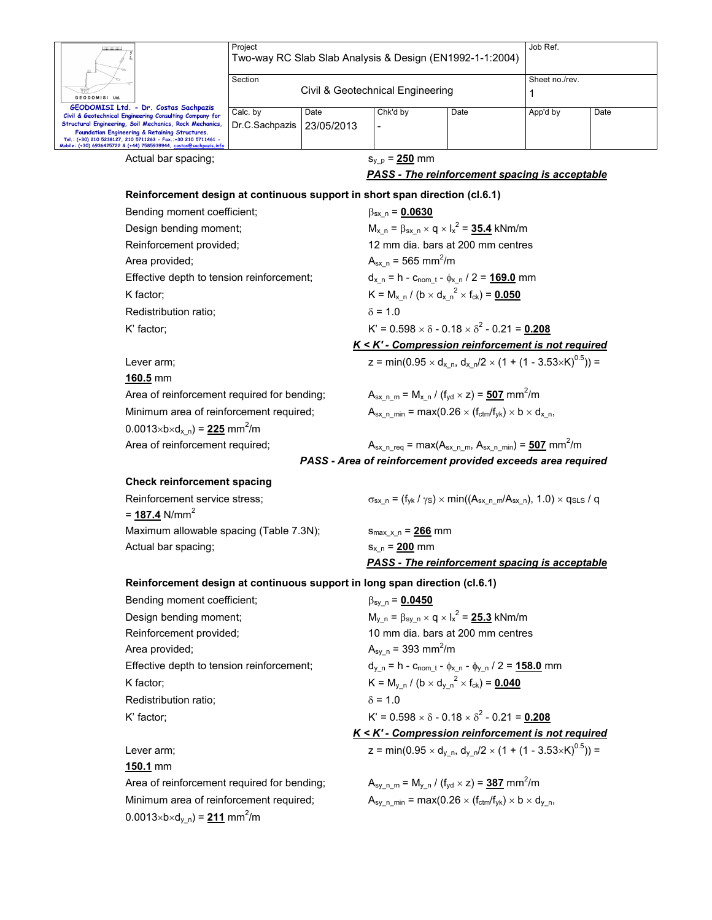|                                                                                                                                                                                     | Project                                                                     |            |                                         | Two-way RC Slab Slab Analysis & Design (EN1992-1-1:2004)                                                                       | Job Ref.            |      |
|-------------------------------------------------------------------------------------------------------------------------------------------------------------------------------------|-----------------------------------------------------------------------------|------------|-----------------------------------------|--------------------------------------------------------------------------------------------------------------------------------|---------------------|------|
|                                                                                                                                                                                     |                                                                             |            |                                         |                                                                                                                                |                     |      |
| GEODOMISI Ltd.                                                                                                                                                                      | Section                                                                     |            | Civil & Geotechnical Engineering        |                                                                                                                                | Sheet no./rev.<br>1 |      |
| GEODOMISI Ltd. - Dr. Costas Sachpazis                                                                                                                                               | Calc. by                                                                    | Date       | Chk'd by                                | Date                                                                                                                           | App'd by            | Date |
| Civil & Geotechnical Engineering Consulting Company for<br>Structural Engineering, Soil Mechanics, Rock Mechanics,                                                                  | Dr.C.Sachpazis                                                              | 23/05/2013 | $\overline{a}$                          |                                                                                                                                |                     |      |
| Foundation Engineering & Retaining Structures.<br>Tel.: (+30) 210 5238127, 210 5711263 - Fax.:+30 210 5711461 -<br>Mobile: (+30) 6936425722 & (+44) 7585939944, <u>costas@sachp</u> |                                                                             |            |                                         |                                                                                                                                |                     |      |
|                                                                                                                                                                                     | Actual bar spacing;                                                         |            | $S_{y, p} = 250$ mm                     |                                                                                                                                |                     |      |
|                                                                                                                                                                                     |                                                                             |            |                                         | <b>PASS - The reinforcement spacing is acceptable</b>                                                                          |                     |      |
|                                                                                                                                                                                     | Reinforcement design at continuous support in short span direction (cl.6.1) |            |                                         |                                                                                                                                |                     |      |
|                                                                                                                                                                                     | Bending moment coefficient;                                                 |            | $\beta_{sx}$ n = 0.0630                 |                                                                                                                                |                     |      |
|                                                                                                                                                                                     | Design bending moment;                                                      |            |                                         | $M_{x n} = \beta_{sx n} \times q \times I_{x}^{2} = 35.4$ kNm/m                                                                |                     |      |
|                                                                                                                                                                                     | Reinforcement provided;                                                     |            |                                         | 12 mm dia, bars at 200 mm centres                                                                                              |                     |      |
| Area provided;                                                                                                                                                                      |                                                                             |            | $A_{sx,n} = 565$ mm <sup>2</sup> /m     |                                                                                                                                |                     |      |
|                                                                                                                                                                                     | Effective depth to tension reinforcement;                                   |            |                                         | $d_{x_n} = h - c_{nom_t} - \phi_{x_n} / 2 = 169.0$ mm                                                                          |                     |      |
| K factor;                                                                                                                                                                           |                                                                             |            |                                         | $K = M_{x n} / (b \times d_{x n}^2 \times f_{ck}) = 0.050$                                                                     |                     |      |
|                                                                                                                                                                                     | Redistribution ratio;                                                       |            | $\delta$ = 1.0                          |                                                                                                                                |                     |      |
| K' factor;                                                                                                                                                                          |                                                                             |            |                                         | $K' = 0.598 \times \delta - 0.18 \times \delta^2 - 0.21 = 0.208$                                                               |                     |      |
|                                                                                                                                                                                     |                                                                             |            |                                         | K < K' - Compression reinforcement is not required                                                                             |                     |      |
| Lever arm;                                                                                                                                                                          |                                                                             |            |                                         | z = min(0.95 $\times$ d <sub>x n</sub> , d <sub>x n</sub> /2 $\times$ (1 + (1 - 3.53 $\times$ K) <sup>0.5</sup> )) =           |                     |      |
| 160.5 mm                                                                                                                                                                            |                                                                             |            |                                         |                                                                                                                                |                     |      |
|                                                                                                                                                                                     | Area of reinforcement required for bending;                                 |            |                                         | $A_{sx\_n\_m} = M_{x\_n} / (f_{yd} \times z) = 507$ mm <sup>2</sup> /m                                                         |                     |      |
|                                                                                                                                                                                     | Minimum area of reinforcement required;                                     |            |                                         | $A_{sx}$ n min = max(0.26 $\times$ (f <sub>ctm</sub> /f <sub>yk</sub> ) $\times$ b $\times$ d <sub>x</sub> n,                  |                     |      |
|                                                                                                                                                                                     | $0.0013 \times b \times d_{x,n} = 225$ mm <sup>2</sup> /m                   |            |                                         |                                                                                                                                |                     |      |
|                                                                                                                                                                                     | Area of reinforcement required;                                             |            |                                         | $A_{sx}$ n req = max( $A_{sx}$ n m, $A_{sx}$ n min) = 507 mm <sup>2</sup> /m                                                   |                     |      |
|                                                                                                                                                                                     |                                                                             |            |                                         | PASS - Area of reinforcement provided exceeds area required                                                                    |                     |      |
|                                                                                                                                                                                     | <b>Check reinforcement spacing</b>                                          |            |                                         |                                                                                                                                |                     |      |
|                                                                                                                                                                                     | Reinforcement service stress;                                               |            |                                         | $\sigma_{sx,n}$ = (f <sub>yk</sub> / $\gamma_s$ ) × min((A <sub>sx n m</sub> /A <sub>sx n</sub> ), 1.0) × q <sub>SLS</sub> / q |                     |      |
| = $187.4$ N/mm <sup>2</sup>                                                                                                                                                         |                                                                             |            |                                         |                                                                                                                                |                     |      |
|                                                                                                                                                                                     | Maximum allowable spacing (Table 7.3N);                                     |            | $S_{\text{max }x n} = 266$ mm           |                                                                                                                                |                     |      |
|                                                                                                                                                                                     | Actual bar spacing;                                                         |            | $S_{x n} = 200$ mm                      |                                                                                                                                |                     |      |
|                                                                                                                                                                                     |                                                                             |            |                                         | <b>PASS - The reinforcement spacing is acceptable</b>                                                                          |                     |      |
|                                                                                                                                                                                     | Reinforcement design at continuous support in long span direction (cl.6.1)  |            |                                         |                                                                                                                                |                     |      |
|                                                                                                                                                                                     | Bending moment coefficient;                                                 |            | $\beta_{sy\_n} = 0.0450$                |                                                                                                                                |                     |      |
|                                                                                                                                                                                     | Design bending moment;                                                      |            |                                         | $M_{y n} = \beta_{sy n} \times q \times I_x^2 = 25.3$ kNm/m                                                                    |                     |      |
|                                                                                                                                                                                     | Reinforcement provided;                                                     |            |                                         | 10 mm dia. bars at 200 mm centres                                                                                              |                     |      |
| Area provided;                                                                                                                                                                      |                                                                             |            | $A_{\rm sy}$ n = 393 mm <sup>2</sup> /m |                                                                                                                                |                     |      |
|                                                                                                                                                                                     | Effective depth to tension reinforcement;                                   |            |                                         | $d_{y_n} = h - c_{nom_t} - \phi_{x_n} - \phi_{y_n} / 2 = 158.0$ mm                                                             |                     |      |
| K factor;                                                                                                                                                                           |                                                                             |            |                                         | $K = M_{v n} / (b \times d_{v n}^2 \times f_{ck}) = 0.040$                                                                     |                     |      |
|                                                                                                                                                                                     | Redistribution ratio;                                                       |            | $\delta$ = 1.0                          |                                                                                                                                |                     |      |
| K' factor;                                                                                                                                                                          |                                                                             |            |                                         | $K' = 0.598 \times \delta - 0.18 \times \delta^2 - 0.21 = 0.208$                                                               |                     |      |
|                                                                                                                                                                                     |                                                                             |            |                                         | K < K' - Compression reinforcement is not required                                                                             |                     |      |
| Lever arm;                                                                                                                                                                          |                                                                             |            |                                         | z = min(0.95 $\times$ d <sub>y n</sub> , d <sub>y n</sub> /2 $\times$ (1 + (1 - 3.53 $\times$ K) <sup>0.5</sup> )) =           |                     |      |
| 150.1 mm                                                                                                                                                                            |                                                                             |            |                                         |                                                                                                                                |                     |      |
|                                                                                                                                                                                     | Area of reinforcement required for bending;                                 |            |                                         | $A_{sy \n m} = M_{y \n m} / (f_{yd} \times z) = 387$ mm <sup>2</sup> /m                                                        |                     |      |
|                                                                                                                                                                                     | Minimum area of reinforcement required;                                     |            |                                         | $A_{sy\_n\_min}$ = max(0.26 $\times$ (f <sub>ctm</sub> /f <sub>yk</sub> ) $\times$ b $\times$ d <sub>y_n</sub> ,               |                     |      |
|                                                                                                                                                                                     | $0.0013 \times b \times d_{y_n} = 211$ mm <sup>2</sup> /m                   |            |                                         |                                                                                                                                |                     |      |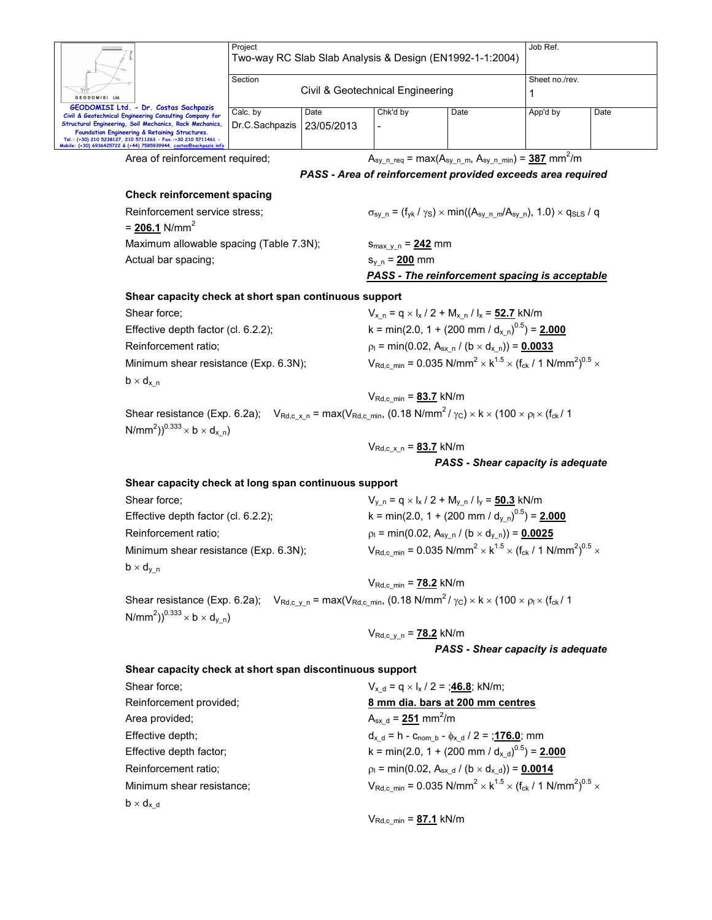|                                                                                                                                                                               | Project                          |            |                                                   | Two-way RC Slab Slab Analysis & Design (EN1992-1-1:2004)                     | Job Ref.                                                                                                                                            |      |
|-------------------------------------------------------------------------------------------------------------------------------------------------------------------------------|----------------------------------|------------|---------------------------------------------------|------------------------------------------------------------------------------|-----------------------------------------------------------------------------------------------------------------------------------------------------|------|
|                                                                                                                                                                               | Section                          |            |                                                   |                                                                              | Sheet no./rev.                                                                                                                                      |      |
| GEODOMISI Ltd.                                                                                                                                                                | Civil & Geotechnical Engineering |            |                                                   |                                                                              | 1                                                                                                                                                   |      |
| GEODOMISI Ltd. - Dr. Costas Sachpazis<br>Civil & Geotechnical Engineering Consulting Company for                                                                              | Calc. by                         | Date       | Chk'd by                                          | Date                                                                         | App'd by                                                                                                                                            | Date |
| Structural Engineering, Soil Mechanics, Rock Mechanics,<br>Foundation Engineering & Retaining Structures.                                                                     | Dr.C.Sachpazis                   | 23/05/2013 |                                                   |                                                                              |                                                                                                                                                     |      |
| Tel.: (+30) 210 5238127, 210 5711263 - Fax.:+30 210 5711461 -<br>Mobile: (+30) 6936425722 & (+44) 7585939944, costas@si                                                       |                                  |            |                                                   |                                                                              |                                                                                                                                                     |      |
| Area of reinforcement required;                                                                                                                                               |                                  |            |                                                   |                                                                              | $A_{\rm sy}$ n req = max( $A_{\rm sy}$ n m, $A_{\rm sy}$ n min) = 387 mm <sup>2</sup> /m                                                            |      |
|                                                                                                                                                                               |                                  |            |                                                   |                                                                              | PASS - Area of reinforcement provided exceeds area required                                                                                         |      |
| <b>Check reinforcement spacing</b>                                                                                                                                            |                                  |            |                                                   |                                                                              |                                                                                                                                                     |      |
| Reinforcement service stress;                                                                                                                                                 |                                  |            |                                                   |                                                                              | $\sigma_{sy,n} = (f_{yk}/\gamma_s) \times min((A_{sy,n,m}/A_{sy,n}), 1.0) \times q_{SLS}/q$                                                         |      |
| $= 206.1$ N/mm <sup>2</sup>                                                                                                                                                   |                                  |            |                                                   |                                                                              |                                                                                                                                                     |      |
| Maximum allowable spacing (Table 7.3N);                                                                                                                                       |                                  |            | $S_{\text{max y n}} = 242$ mm                     |                                                                              |                                                                                                                                                     |      |
| Actual bar spacing;                                                                                                                                                           |                                  |            | $s_{y_n} = 200$ mm                                |                                                                              |                                                                                                                                                     |      |
|                                                                                                                                                                               |                                  |            |                                                   |                                                                              | <b>PASS - The reinforcement spacing is acceptable</b>                                                                                               |      |
| Shear capacity check at short span continuous support                                                                                                                         |                                  |            |                                                   |                                                                              |                                                                                                                                                     |      |
| Shear force;                                                                                                                                                                  |                                  |            |                                                   | $V_{x n} = q \times I_x / 2 + M_{x n} / I_x = 52.7$ kN/m                     |                                                                                                                                                     |      |
| Effective depth factor (cl. 6.2.2);                                                                                                                                           |                                  |            |                                                   |                                                                              | k = min(2.0, 1 + (200 mm / d <sub>x n</sub> ) <sup>0.5</sup> ) = <b>2.000</b>                                                                       |      |
| Reinforcement ratio;                                                                                                                                                          |                                  |            |                                                   | $p_1 = min(0.02, A_{sx} \cdot n / (b \times d_{x} \cdot n)) = 0.0033$        |                                                                                                                                                     |      |
| Minimum shear resistance (Exp. 6.3N);                                                                                                                                         |                                  |            |                                                   |                                                                              | $V_{\text{Rd},c \text{ min}} = 0.035 \text{ N/mm}^2 \times k^{1.5} \times (f_{\text{ck}} / 1 \text{ N/mm}^2)^{0.5} \times$                          |      |
| $b \times d_{x}$ n                                                                                                                                                            |                                  |            |                                                   |                                                                              |                                                                                                                                                     |      |
|                                                                                                                                                                               |                                  |            | $V_{\text{Rd},c,min} = 83.7$ kN/m                 |                                                                              |                                                                                                                                                     |      |
| Shear resistance (Exp. 6.2a); $V_{\text{Rd},c_x,n} = \max(V_{\text{Rd},c_min}, (0.18 \text{ N/mm}^2/\gamma c) \times k \times (100 \times \rho) \times (f_{ck}/100 \times k)$ |                                  |            |                                                   |                                                                              |                                                                                                                                                     |      |
| N/mm <sup>2</sup> )) <sup>0.333</sup> $\times$ b $\times$ d <sub>x n</sub> )                                                                                                  |                                  |            |                                                   |                                                                              |                                                                                                                                                     |      |
|                                                                                                                                                                               |                                  |            | $V_{\text{Rd}, c \times n} = 83.7$ kN/m           |                                                                              |                                                                                                                                                     |      |
|                                                                                                                                                                               |                                  |            |                                                   |                                                                              | PASS - Shear capacity is adequate                                                                                                                   |      |
| Shear capacity check at long span continuous support                                                                                                                          |                                  |            |                                                   |                                                                              |                                                                                                                                                     |      |
| Shear force;                                                                                                                                                                  |                                  |            |                                                   | $V_{y n} = q \times I_x / 2 + M_{y n} / I_y = 50.3$ kN/m                     |                                                                                                                                                     |      |
| Effective depth factor (cl. 6.2.2);                                                                                                                                           |                                  |            |                                                   |                                                                              | k = min(2.0, 1 + (200 mm / d <sub>v n</sub> ) <sup>0.5</sup> ) = <b>2.000</b>                                                                       |      |
| Reinforcement ratio;                                                                                                                                                          |                                  |            |                                                   | $p_1 = min(0.02, A_{sy n} / (b \times d_{y n})) = 0.0025$                    |                                                                                                                                                     |      |
| Minimum shear resistance (Exp. 6.3N);                                                                                                                                         |                                  |            |                                                   |                                                                              | $V_{\text{Rd},c,min}$ = 0.035 N/mm <sup>2</sup> $\times$ k <sup>1.5</sup> $\times$ (f <sub>ck</sub> / 1 N/mm <sup>2</sup> ) <sup>0.5</sup> $\times$ |      |
| $b \times d_{y_n}$                                                                                                                                                            |                                  |            |                                                   |                                                                              |                                                                                                                                                     |      |
|                                                                                                                                                                               |                                  |            | $V_{\text{Rd},c,min} = 78.2$ kN/m                 |                                                                              |                                                                                                                                                     |      |
| Shear resistance (Exp. 6.2a); $V_{\text{Rd},c_y,n} = \max(V_{\text{Rd},c_{\min}}, (0.18 \text{ N/mm}^2/\gamma_c) \times k \times (100 \times \rho) \times (f_{\text{ck}}/1$   |                                  |            |                                                   |                                                                              |                                                                                                                                                     |      |
| N/mm <sup>2</sup> )) <sup>0.333</sup> $\times$ b $\times$ d <sub>v</sub> n)                                                                                                   |                                  |            |                                                   |                                                                              |                                                                                                                                                     |      |
|                                                                                                                                                                               |                                  |            | $V_{Rd.c v n} = 78.2$ kN/m                        |                                                                              |                                                                                                                                                     |      |
|                                                                                                                                                                               |                                  |            |                                                   |                                                                              | PASS - Shear capacity is adequate                                                                                                                   |      |
| Shear capacity check at short span discontinuous support                                                                                                                      |                                  |            |                                                   |                                                                              |                                                                                                                                                     |      |
| Shear force:                                                                                                                                                                  |                                  |            |                                                   | $V_{x,d} = q \times I_x / 2 = 346.8$ ; kN/m;                                 |                                                                                                                                                     |      |
| Reinforcement provided;                                                                                                                                                       |                                  |            |                                                   | 8 mm dia. bars at 200 mm centres                                             |                                                                                                                                                     |      |
| Area provided;                                                                                                                                                                |                                  |            | $A_{sx\ d} = 251 \text{ mm}^2/\text{m}$           |                                                                              |                                                                                                                                                     |      |
| Effective depth;                                                                                                                                                              |                                  |            |                                                   | $d_{x,d} = h - c_{\text{nom }b} - \phi_{x,d} / 2 = \frac{176.0}{176.0}$ ; mm |                                                                                                                                                     |      |
| Effective depth factor;                                                                                                                                                       |                                  |            |                                                   |                                                                              | k = min(2.0, 1 + (200 mm / $d_{x d}$ ) <sup>0.5</sup> ) = <b>2.000</b>                                                                              |      |
| Reinforcement ratio;                                                                                                                                                          |                                  |            |                                                   | $p_1 = min(0.02, A_{sx d} / (b \times d_{x d})) = 0.0014$                    |                                                                                                                                                     |      |
| Minimum shear resistance;                                                                                                                                                     |                                  |            |                                                   |                                                                              | $V_{\text{Rd},c,min}$ = 0.035 N/mm <sup>2</sup> $\times$ k <sup>1.5</sup> $\times$ (f <sub>ck</sub> / 1 N/mm <sup>2</sup> ) <sup>0.5</sup> $\times$ |      |
|                                                                                                                                                                               |                                  |            |                                                   |                                                                              |                                                                                                                                                     |      |
| $b \times d_{x}$ <sub>d</sub>                                                                                                                                                 |                                  |            |                                                   |                                                                              |                                                                                                                                                     |      |
|                                                                                                                                                                               |                                  |            | $V_{\text{Rd},c \text{ min}} = 87.1 \text{ kN/m}$ |                                                                              |                                                                                                                                                     |      |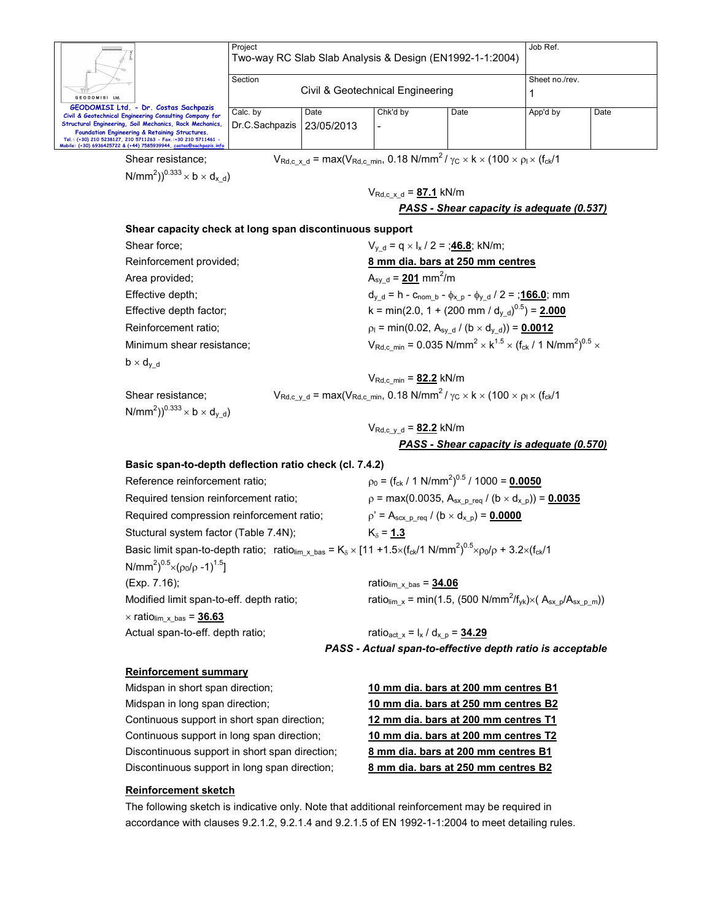| Ш.                                                                                                                                                                                                                                                                                                                                                   | Project<br>Two-way RC Slab Slab Analysis & Design (EN1992-1-1:2004) | Job Ref.                         |                |      |          |      |
|------------------------------------------------------------------------------------------------------------------------------------------------------------------------------------------------------------------------------------------------------------------------------------------------------------------------------------------------------|---------------------------------------------------------------------|----------------------------------|----------------|------|----------|------|
| GEODOMISI Ltd.                                                                                                                                                                                                                                                                                                                                       | Section                                                             | Civil & Geotechnical Engineering | Sheet no./rev. |      |          |      |
| GEODOMISI Ltd. - Dr. Costas Sachpazis<br>Civil & Geotechnical Engineering Consulting Company for<br>Structural Engineering, Soil Mechanics, Rock Mechanics,<br>Foundation Engineering & Retaining Structures.<br>Tel.: (+30) 210 5238127, 210 5711263 - Fax.:+30 210 5711461 -<br>Mobile: (+30) 6936425722 & (+44) 7585939944, costas@sachpazis.info | Calc. by<br>Dr.C.Sachpazis                                          | Date<br>  23/05/2013             | Chk'd by<br>-  | Date | App'd by | Date |

 $N/mm^2)$ )<sup>0.333</sup>  $\times$  b  $\times$  d<sub>x\_d</sub>)

Shear resistance;  $V_{\text{Rd},c_x,d} = \max(V_{\text{Rd},c_min}, 0.18 \text{ N/mm}^2/\gamma_c \times \text{k} \times (100 \times \rho_1 \times (f_{ck}/1))$ 

VRd,c\_x\_d = **87.1** kN/m

*PASS - Shear capacity is adequate (0.537)*

#### **Shear capacity check at long span discontinuous support**

| Shear force:              | $V_{\text{v d}} = q \times I_{\text{x}} / 2 = \frac{46.8}{46.8}$ ; kN/m;                                           |
|---------------------------|--------------------------------------------------------------------------------------------------------------------|
| Reinforcement provided;   | 8 mm dia. bars at 250 mm centres                                                                                   |
| Area provided;            | $A_{\text{sv d}} = 201 \text{ mm}^2/\text{m}$                                                                      |
| Effective depth;          | $d_{v,d} = h - c_{\text{nom }b} - \phi_{x,p} - \phi_{v,d} / 2 = \frac{166.0}{100}$ ; mm                            |
| Effective depth factor;   | k = min(2.0, 1 + (200 mm / $d_{\text{v d}}$ ) <sup>0.5</sup> ) = <b>2.000</b>                                      |
| Reinforcement ratio;      | $p_1 = min(0.02, A_{sv, d} / (b \times d_{v, d})) = 0.0012$                                                        |
| Minimum shear resistance; | $V_{\text{Rd},c,min} = 0.035 \text{ N/mm}^2 \times k^{1.5} \times (f_{\text{ck}} / 1 \text{ N/mm}^2)^{0.5} \times$ |
| $b \times d_{v,d}$        |                                                                                                                    |
|                           |                                                                                                                    |

VRd,c\_min = **82.2** kN/m

 $N/mm^2)$ )<sup>0.333</sup>  $\times$  b  $\times$  d<sub>y\_d</sub>)

Shear resistance;  $V_{\text{Rd},c_y_d} = \text{max}(V_{\text{Rd},c_min}, 0.18 \text{ N/mm}^2 / \gamma_c \times \text{k} \times (100 \times \rho_l \times (f_{ck}/1))$ 

VRd,c\_y\_d = **82.2** kN/m *PASS - Shear capacity is adequate (0.570)*

### **Basic span-to-depth deflection ratio check (cl. 7.4.2)**

| Reference reinforcement ratio;                                                                                                                                                                                | $p_0 = (f_{ck} / 1 \text{ N/mm}^2)^{0.5} / 1000 = 0.0050$                                              |
|---------------------------------------------------------------------------------------------------------------------------------------------------------------------------------------------------------------|--------------------------------------------------------------------------------------------------------|
| Required tension reinforcement ratio;                                                                                                                                                                         | $p = max(0.0035, A_{sx, p \text{ reg}} / (b \times d_{x, p})) = 0.0035$                                |
| Required compression reinforcement ratio;                                                                                                                                                                     | $p' = A_{scx} p_{req} / (b \times d_{x} p) = 0.0000$                                                   |
| Stuctural system factor (Table 7.4N);                                                                                                                                                                         | $K_{\rm s} = 1.3$                                                                                      |
| Basic limit span-to-depth ratio; ratio <sub>lim_x_bas</sub> = K <sub><math>\delta</math></sub> × [11 +1.5×(f <sub>ck</sub> /1 N/mm <sup>2</sup> ) <sup>0.5</sup> ×p <sub>0</sub> /p + 3.2×(f <sub>ck</sub> /1 |                                                                                                        |
| N/mm <sup>2</sup> ) <sup>0.5</sup> $\times$ ( $\rho_0$ / $\rho$ -1) <sup>1.5</sup> ]                                                                                                                          |                                                                                                        |
| (Exp. 7.16);                                                                                                                                                                                                  | ratio $_{\text{lim\_x\_bas}} = 34.06$                                                                  |
| Modified limit span-to-eff. depth ratio;                                                                                                                                                                      | ratio <sub>lim x</sub> = min(1.5, (500 N/mm <sup>2</sup> /f <sub>yk</sub> )×( $A_{sx} p/A_{sx} p m$ )) |
| $\times$ ratio <sub>lim_x_bas</sub> = $36.63$                                                                                                                                                                 |                                                                                                        |
| Actual span-to-eff. depth ratio;                                                                                                                                                                              | ratio <sub>act x</sub> = $I_x / d_{x, p} = 34.29$                                                      |

*PASS - Actual span-to-effective depth ratio is acceptable* 

#### **Reinforcement summary**

Midspan in short span direction; **10 mm dia. bars at 200 mm centres B1** Midspan in long span direction; **10 mm dia. bars at 250 mm centres B2** Continuous support in short span direction; **12 mm dia. bars at 200 mm centres T1** Continuous support in long span direction; **10 mm dia. bars at 200 mm centres T2** Discontinuous support in short span direction; **8 mm dia. bars at 200 mm centres B1** Discontinuous support in long span direction; **8 mm dia. bars at 250 mm centres B2**

### **Reinforcement sketch**

The following sketch is indicative only. Note that additional reinforcement may be required in accordance with clauses 9.2.1.2, 9.2.1.4 and 9.2.1.5 of EN 1992-1-1:2004 to meet detailing rules.